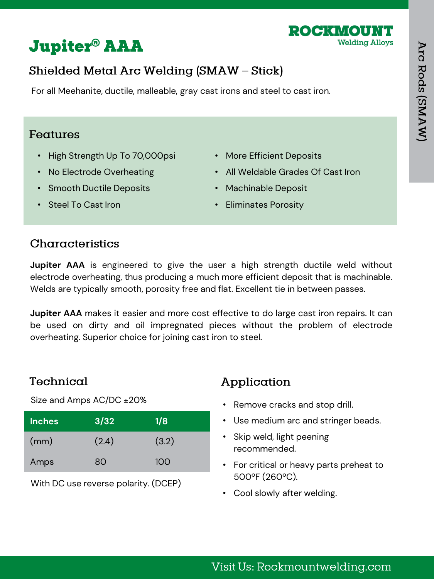

# **Jupiter<sup>®</sup> AAA**

# Shielded Metal Arc Welding (SMAW - Stick)

For all Meehanite, ductile, malleable, gray cast irons and steel to cast iron.

#### Features

- High Strength Up To 70,000psi
- No Electrode Overheating
- Smooth Ductile Deposits
- More Efficient Deposits
- All Weldable Grades Of Cast Iron
- Machinable Deposit

• Steel To Cast Iron

• Eliminates Porosity

## Characteristics

**Jupiter AAA** is engineered to give the user a high strength ductile weld without electrode overheating, thus producing a much more efficient deposit that is machinable. Welds are typically smooth, porosity free and flat. Excellent tie in between passes.

**Jupiter AAA** makes it easier and more cost effective to do large cast iron repairs. It can be used on dirty and oil impregnated pieces without the problem of electrode overheating. Superior choice for joining cast iron to steel.

## Technical

Size and Amps AC/DC ±20%

| <b>Inches</b> | 3/32  | 1/8   |
|---------------|-------|-------|
| (mm)          | (2.4) | (3.2) |
| Amps          | 80    | 100   |

With DC use reverse polarity. (DCEP)

## Application

- Remove cracks and stop drill.
- Use medium arc and stringer beads.
- Skip weld, light peening recommended.
- For critical or heavy parts preheat to 500ºF (260ºC).
- Cool slowly after welding.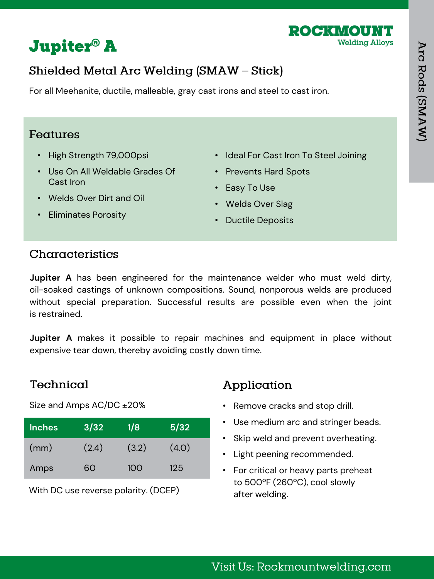



# Shielded Metal Arc Welding (SMAW - Stick)

For all Meehanite, ductile, malleable, gray cast irons and steel to cast iron.

#### Features

- High Strength 79,000psi
- Use On All Weldable Grades Of Cast Iron
- Ideal For Cast Iron To Steel Joining
- Prevents Hard Spots
- Easy To Use
- Welds Over Dirt and Oil
- Welds Over Slag

• Eliminates Porosity

• Ductile Deposits

#### Characteristics

**Jupiter A** has been engineered for the maintenance welder who must weld dirty, oil-soaked castings of unknown compositions. Sound, nonporous welds are produced without special preparation. Successful results are possible even when the joint is restrained.

**Jupiter A** makes it possible to repair machines and equipment in place without expensive tear down, thereby avoiding costly down time.

## Technical

Size and Amps AC/DC ±20%

| <b>Inches</b> | 3/32  | 1/8   | 5/32  |
|---------------|-------|-------|-------|
| (mm)          | (2.4) | (3.2) | (4.0) |
| Amps          | റെ    | 10O   | 125   |

With DC use reverse polarity. (DCEP)

## Application

- Remove cracks and stop drill.
- Use medium arc and stringer beads.
- Skip weld and prevent overheating.
- Light peening recommended.
- For critical or heavy parts preheat to 500ºF (260ºC), cool slowly after welding.